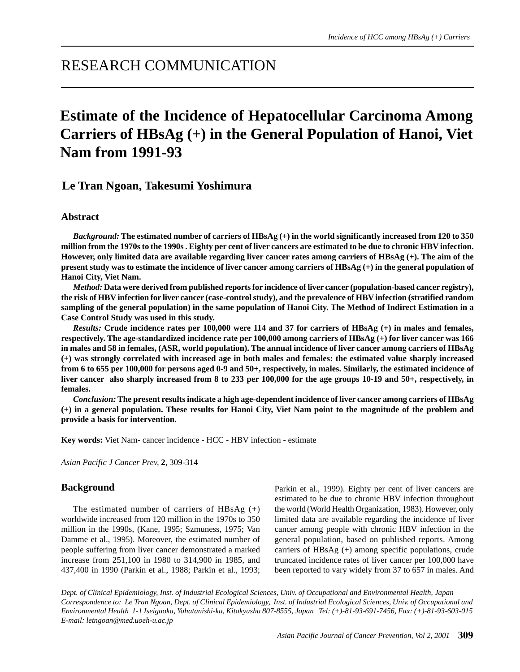## RESEARCH COMMUNICATION

# **Estimate of the Incidence of Hepatocellular Carcinoma Among Carriers of HBsAg (+) in the General Population of Hanoi, Viet Nam from 1991-93**

### **Le Tran Ngoan, Takesumi Yoshimura**

#### **Abstract**

*Background:* **The estimated number of carriers of HBsAg (+) in the world significantly increased from 120 to 350 million from the 1970s to the 1990s . Eighty per cent of liver cancers are estimated to be due to chronic HBV infection. However, only limited data are available regarding liver cancer rates among carriers of HBsAg (+). The aim of the present study was to estimate the incidence of liver cancer among carriers of HBsAg (+) in the general population of Hanoi City, Viet Nam.**

*Method:* **Data were derived from published reports for incidence of liver cancer (population-based cancer registry), the risk of HBV infection for liver cancer (case-control study), and the prevalence of HBV infection (stratified random sampling of the general population) in the same population of Hanoi City. The Method of Indirect Estimation in a Case Control Study was used in this study.**

*Results:* **Crude incidence rates per 100,000 were 114 and 37 for carriers of HBsAg (+) in males and females, respectively. The age-standardized incidence rate per 100,000 among carriers of HBsAg (+) for liver cancer was 166 in males and 58 in females, (ASR, world population). The annual incidence of liver cancer among carriers of HBsAg (+) was strongly correlated with increased age in both males and females: the estimated value sharply increased from 6 to 655 per 100,000 for persons aged 0-9 and 50+, respectively, in males. Similarly, the estimated incidence of liver cancer also sharply increased from 8 to 233 per 100,000 for the age groups 10-19 and 50+, respectively, in females.**

*Conclusion:* **The present results indicate a high age-dependent incidence of liver cancer among carriers of HBsAg (+) in a general population. These results for Hanoi City, Viet Nam point to the magnitude of the problem and provide a basis for intervention.**

**Key words:** Viet Nam- cancer incidence - HCC - HBV infection - estimate

*Asian Pacific J Cancer Prev,* **2**, 309-314

#### **Background**

The estimated number of carriers of  $HBsAg$  (+) worldwide increased from 120 million in the 1970s to 350 million in the 1990s, (Kane, 1995; Szmuness, 1975; Van Damme et al., 1995). Moreover, the estimated number of people suffering from liver cancer demonstrated a marked increase from 251,100 in 1980 to 314,900 in 1985, and 437,400 in 1990 (Parkin et al., 1988; Parkin et al., 1993;

Parkin et al., 1999). Eighty per cent of liver cancers are estimated to be due to chronic HBV infection throughout the world (World Health Organization, 1983). However, only limited data are available regarding the incidence of liver cancer among people with chronic HBV infection in the general population, based on published reports. Among carriers of HBsAg (+) among specific populations, crude truncated incidence rates of liver cancer per 100,000 have been reported to vary widely from 37 to 657 in males. And

*Dept. of Clinical Epidemiology, Inst. of Industrial Ecological Sciences, Univ. of Occupational and Environmental Health, Japan Correspondence to: Le Tran Ngoan, Dept. of Clinical Epidemiology, Inst. of Industrial Ecological Sciences, Univ. of Occupational and Environmental Health 1-1 Iseigaoka, Yahatanishi-ku, Kitakyushu 807-8555, Japan Tel: (+)-81-93-691-7456, Fax: (+)-81-93-603-015 E-mail: letngoan@med.uoeh-u.ac.jp*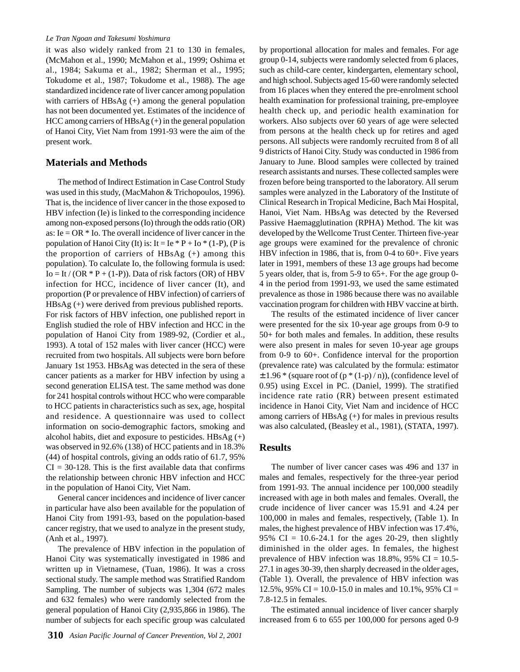it was also widely ranked from 21 to 130 in females, (McMahon et al., 1990; McMahon et al., 1999; Oshima et al., 1984; Sakuma et al., 1982; Sherman et al., 1995; Tokudome et al., 1987; Tokudome et al., 1988). The age standardized incidence rate of liver cancer among population with carriers of HBsAg (+) among the general population has not been documented yet. Estimates of the incidence of HCC among carriers of HBsAg (+) in the general population of Hanoi City, Viet Nam from 1991-93 were the aim of the present work.

#### **Materials and Methods**

The method of Indirect Estimation in Case Control Study was used in this study, (MacMahon & Trichopoulos, 1996). That is, the incidence of liver cancer in the those exposed to HBV infection (Ie) is linked to the corresponding incidence among non-exposed persons (Io) through the odds ratio (OR) as: Ie  $=$  OR  $*$  Io. The overall incidence of liver cancer in the population of Hanoi City (It) is: It = Ie  $*$  P + Io  $*(1-P)$ , (P is the proportion of carriers of HBsAg (+) among this population). To calculate Io, the following formula is used:  $Io = It / (OR * P + (1-P)).$  Data of risk factors  $(OR)$  of HBV infection for HCC, incidence of liver cancer (It), and proportion (P or prevalence of HBV infection) of carriers of HBsAg (+) were derived from previous published reports. For risk factors of HBV infection, one published report in English studied the role of HBV infection and HCC in the population of Hanoi City from 1989-92, (Cordier et al., 1993). A total of 152 males with liver cancer (HCC) were recruited from two hospitals. All subjects were born before January 1st 1953. HBsAg was detected in the sera of these cancer patients as a marker for HBV infection by using a second generation ELISA test. The same method was done for 241 hospital controls without HCC who were comparable to HCC patients in characteristics such as sex, age, hospital and residence. A questionnaire was used to collect information on socio-demographic factors, smoking and alcohol habits, diet and exposure to pesticides. HBsAg (+) was observed in 92.6% (138) of HCC patients and in 18.3% (44) of hospital controls, giving an odds ratio of 61.7, 95%  $CI = 30-128$ . This is the first available data that confirms the relationship between chronic HBV infection and HCC in the population of Hanoi City, Viet Nam.

General cancer incidences and incidence of liver cancer in particular have also been available for the population of Hanoi City from 1991-93, based on the population-based cancer registry, that we used to analyze in the present study, (Anh et al., 1997).

The prevalence of HBV infection in the population of Hanoi City was systematically investigated in 1986 and written up in Vietnamese, (Tuan, 1986). It was a cross sectional study. The sample method was Stratified Random Sampling. The number of subjects was 1,304 (672 males and 632 females) who were randomly selected from the general population of Hanoi City (2,935,866 in 1986). The number of subjects for each specific group was calculated

by proportional allocation for males and females. For age group 0-14, subjects were randomly selected from 6 places, such as child-care center, kindergarten, elementary school, and high school. Subjects aged 15-60 were randomly selected from 16 places when they entered the pre-enrolment school health examination for professional training, pre-employee health check up, and periodic health examination for workers. Also subjects over 60 years of age were selected from persons at the health check up for retires and aged persons. All subjects were randomly recruited from 8 of all 9 districts of Hanoi City. Study was conducted in 1986 from January to June. Blood samples were collected by trained research assistants and nurses. These collected samples were frozen before being transported to the laboratory. All serum samples were analyzed in the Laboratory of the Institute of Clinical Research in Tropical Medicine, Bach Mai Hospital, Hanoi, Viet Nam. HBsAg was detected by the Reversed Passive Haemagglutination (RPHA) Method. The kit was developed by the Wellcome Trust Center. Thirteen five-year age groups were examined for the prevalence of chronic HBV infection in 1986, that is, from 0-4 to 60+. Five years later in 1991, members of these 13 age groups had become 5 years older, that is, from 5-9 to 65+. For the age group 0- 4 in the period from 1991-93, we used the same estimated prevalence as those in 1986 because there was no available vaccination program for children with HBV vaccine at birth.

The results of the estimated incidence of liver cancer were presented for the six 10-year age groups from 0-9 to 50+ for both males and females. In addition, these results were also present in males for seven 10-year age groups from 0-9 to 60+. Confidence interval for the proportion (prevalence rate) was calculated by the formula: estimator  $\pm$  1.96  $*$  (square root of (p  $*$  (1-p)/n)), (confidence level of 0.95) using Excel in PC. (Daniel, 1999). The stratified incidence rate ratio (RR) between present estimated incidence in Hanoi City, Viet Nam and incidence of HCC among carriers of  $HBsAg (+)$  for males in previous results was also calculated, (Beasley et al., 1981), (STATA, 1997).

#### **Results**

The number of liver cancer cases was 496 and 137 in males and females, respectively for the three-year period from 1991-93. The annual incidence per 100,000 steadily increased with age in both males and females. Overall, the crude incidence of liver cancer was 15.91 and 4.24 per 100,000 in males and females, respectively, (Table 1). In males, the highest prevalence of HBV infection was 17.4%, 95% CI =  $10.6 - 24.1$  for the ages 20-29, then slightly diminished in the older ages. In females, the highest prevalence of HBV infection was  $18.8\%$ ,  $95\%$  CI = 10.5-27.1 in ages 30-39, then sharply decreased in the older ages, (Table 1). Overall, the prevalence of HBV infection was 12.5%, 95% CI = 10.0-15.0 in males and 10.1%, 95% CI = 7.8-12.5 in females.

The estimated annual incidence of liver cancer sharply increased from 6 to 655 per 100,000 for persons aged 0-9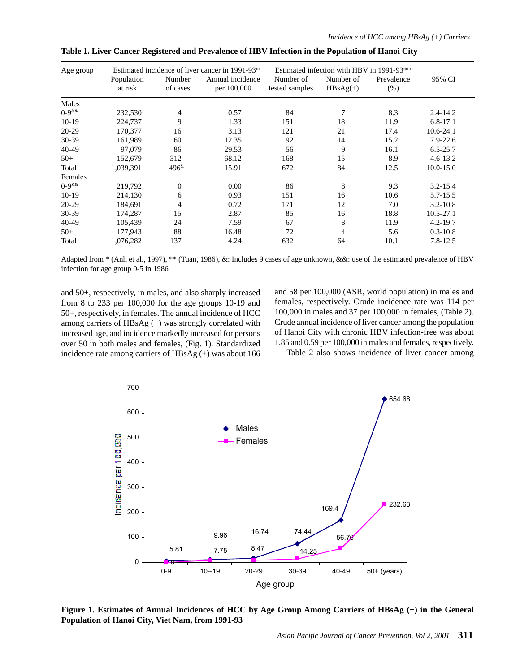| Age group |            |                | Estimated incidence of liver cancer in 1991-93* | Estimated infection with HBV in 1991-93 <sup>**</sup> |            |            |               |
|-----------|------------|----------------|-------------------------------------------------|-------------------------------------------------------|------------|------------|---------------|
|           | Population | Number         | Annual incidence                                | Number of                                             | Number of  | Prevalence | 95% CI        |
|           | at risk    | of cases       | per 100,000                                     | tested samples                                        | $HBsAg(+)$ | (% )       |               |
| Males     |            |                |                                                 |                                                       |            |            |               |
| $0-9$ &&  | 232,530    | $\overline{4}$ | 0.57                                            | 84                                                    | 7          | 8.3        | $2.4 - 14.2$  |
| $10-19$   | 224,737    | 9              | 1.33                                            | 151                                                   | 18         | 11.9       | $6.8 - 17.1$  |
| $20 - 29$ | 170,377    | 16             | 3.13                                            | 121                                                   | 21         | 17.4       | $10.6 - 24.1$ |
| 30-39     | 161,989    | 60             | 12.35                                           | 92                                                    | 14         | 15.2       | 7.9-22.6      |
| $40 - 49$ | 97,079     | 86             | 29.53                                           | 56                                                    | 9          | 16.1       | $6.5 - 25.7$  |
| $50+$     | 152,679    | 312            | 68.12                                           | 168                                                   | 15         | 8.9        | $4.6 - 13.2$  |
| Total     | 1.039.391  | $496*$         | 15.91                                           | 672                                                   | 84         | 12.5       | $10.0 - 15.0$ |
| Females   |            |                |                                                 |                                                       |            |            |               |
| $0-9$ &&  | 219,792    | $\mathbf{0}$   | 0.00                                            | 86                                                    | 8          | 9.3        | $3.2 - 15.4$  |
| $10-19$   | 214,130    | 6              | 0.93                                            | 151                                                   | 16         | 10.6       | 5.7-15.5      |
| $20-29$   | 184,691    | $\overline{4}$ | 0.72                                            | 171                                                   | 12         | 7.0        | $3.2 - 10.8$  |
| 30-39     | 174,287    | 15             | 2.87                                            | 85                                                    | 16         | 18.8       | 10.5-27.1     |
| $40 - 49$ | 105,439    | 24             | 7.59                                            | 67                                                    | 8          | 11.9       | $4.2 - 19.7$  |
| $50+$     | 177,943    | 88             | 16.48                                           | 72                                                    | 4          | 5.6        | $0.3 - 10.8$  |
| Total     | 1,076,282  | 137            | 4.24                                            | 632                                                   | 64         | 10.1       | $7.8 - 12.5$  |

**Table 1. Liver Cancer Registered and Prevalence of HBV Infection in the Population of Hanoi City**

Adapted from \* (Anh et al., 1997), \*\* (Tuan, 1986), &: Includes 9 cases of age unknown, &&: use of the estimated prevalence of HBV infection for age group 0-5 in 1986

and 50+, respectively, in males, and also sharply increased from 8 to 233 per 100,000 for the age groups 10-19 and 50+, respectively, in females. The annual incidence of HCC among carriers of  $HBsAg (+)$  was strongly correlated with increased age, and incidence markedly increased for persons over 50 in both males and females, (Fig. 1). Standardized incidence rate among carriers of HBsAg (+) was about 166 and 58 per 100,000 (ASR, world population) in males and females, respectively. Crude incidence rate was 114 per 100,000 in males and 37 per 100,000 in females, (Table 2). Crude annual incidence of liver cancer among the population of Hanoi City with chronic HBV infection-free was about 1.85 and 0.59 per 100,000 in males and females, respectively.

Table 2 also shows incidence of liver cancer among



**Figure 1. Estimates of Annual Incidences of HCC by Age Group Among Carriers of HBsAg (+) in the General Population of Hanoi City, Viet Nam, from 1991-93**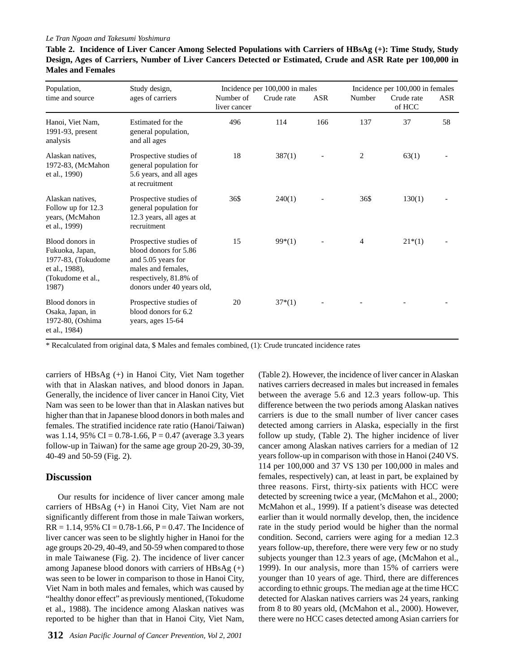#### *Le Tran Ngoan and Takesumi Yoshimura*

| Population,                                                                                              | Study design,                                                                                                                                       | Incidence per 100,000 in males |            |            | Incidence per 100,000 in females |                      |            |
|----------------------------------------------------------------------------------------------------------|-----------------------------------------------------------------------------------------------------------------------------------------------------|--------------------------------|------------|------------|----------------------------------|----------------------|------------|
| time and source                                                                                          | ages of carriers                                                                                                                                    | Number of<br>liver cancer      | Crude rate | <b>ASR</b> | Number                           | Crude rate<br>of HCC | <b>ASR</b> |
| Hanoi, Viet Nam,<br>1991-93, present<br>analysis                                                         | Estimated for the<br>general population,<br>and all ages                                                                                            | 496                            | 114        | 166        | 137                              | 37                   | 58         |
| Alaskan natives.<br>1972-83, (McMahon<br>et al., 1990)                                                   | Prospective studies of<br>general population for<br>5.6 years, and all ages<br>at recruitment                                                       | 18                             | 387(1)     |            | $\overline{c}$                   | 63(1)                |            |
| Alaskan natives.<br>Follow up for 12.3<br>years, (McMahon<br>et al., 1999)                               | Prospective studies of<br>general population for<br>12.3 years, all ages at<br>recruitment                                                          | 36\$                           | 240(1)     |            | 36\$                             | 130(1)               |            |
| Blood donors in<br>Fukuoka, Japan,<br>1977-83, (Tokudome<br>et al., 1988),<br>(Tokudome et al.,<br>1987) | Prospective studies of<br>blood donors for 5.86<br>and 5.05 years for<br>males and females,<br>respectively, 81.8% of<br>donors under 40 years old, | 15                             | $99*(1)$   |            | $\overline{4}$                   | $21*(1)$             |            |
| Blood donors in<br>Osaka, Japan, in<br>1972-80, (Oshima<br>et al., 1984)                                 | Prospective studies of<br>blood donors for 6.2<br>years, ages 15-64                                                                                 | 20                             | $37*(1)$   |            |                                  |                      |            |

**Table 2. Incidence of Liver Cancer Among Selected Populations with Carriers of HBsAg (+): Time Study, Study Design, Ages of Carriers, Number of Liver Cancers Detected or Estimated, Crude and ASR Rate per 100,000 in Males and Females**

\* Recalculated from original data, \$ Males and females combined, (1): Crude truncated incidence rates

carriers of HBsAg (+) in Hanoi City, Viet Nam together with that in Alaskan natives, and blood donors in Japan. Generally, the incidence of liver cancer in Hanoi City, Viet Nam was seen to be lower than that in Alaskan natives but higher than that in Japanese blood donors in both males and females. The stratified incidence rate ratio (Hanoi/Taiwan) was 1.14, 95% CI =  $0.78-1.66$ , P =  $0.47$  (average 3.3 years follow-up in Taiwan) for the same age group 20-29, 30-39, 40-49 and 50-59 (Fig. 2).

#### **Discussion**

Our results for incidence of liver cancer among male carriers of HBsAg (+) in Hanoi City, Viet Nam are not significantly different from those in male Taiwan workers,  $RR = 1.14, 95\% \text{ CI} = 0.78 - 1.66, P = 0.47.$  The Incidence of liver cancer was seen to be slightly higher in Hanoi for the age groups 20-29, 40-49, and 50-59 when compared to those in male Taiwanese (Fig. 2). The incidence of liver cancer among Japanese blood donors with carriers of HBsAg (+) was seen to be lower in comparison to those in Hanoi City, Viet Nam in both males and females, which was caused by "healthy donor effect" as previously mentioned, (Tokudome et al., 1988). The incidence among Alaskan natives was reported to be higher than that in Hanoi City, Viet Nam, (Table 2). However, the incidence of liver cancer in Alaskan natives carriers decreased in males but increased in females between the average 5.6 and 12.3 years follow-up. This difference between the two periods among Alaskan natives carriers is due to the small number of liver cancer cases detected among carriers in Alaska, especially in the first follow up study, (Table 2). The higher incidence of liver cancer among Alaskan natives carriers for a median of 12 years follow-up in comparison with those in Hanoi (240 VS. 114 per 100,000 and 37 VS 130 per 100,000 in males and females, respectively) can, at least in part, be explained by three reasons. First, thirty-six patients with HCC were detected by screening twice a year, (McMahon et al., 2000; McMahon et al., 1999). If a patient's disease was detected earlier than it would normally develop, then, the incidence rate in the study period would be higher than the normal condition. Second, carriers were aging for a median 12.3 years follow-up, therefore, there were very few or no study subjects younger than 12.3 years of age, (McMahon et al., 1999). In our analysis, more than 15% of carriers were younger than 10 years of age. Third, there are differences according to ethnic groups. The median age at the time HCC detected for Alaskan natives carriers was 24 years, ranking from 8 to 80 years old, (McMahon et al., 2000). However, there were no HCC cases detected among Asian carriers for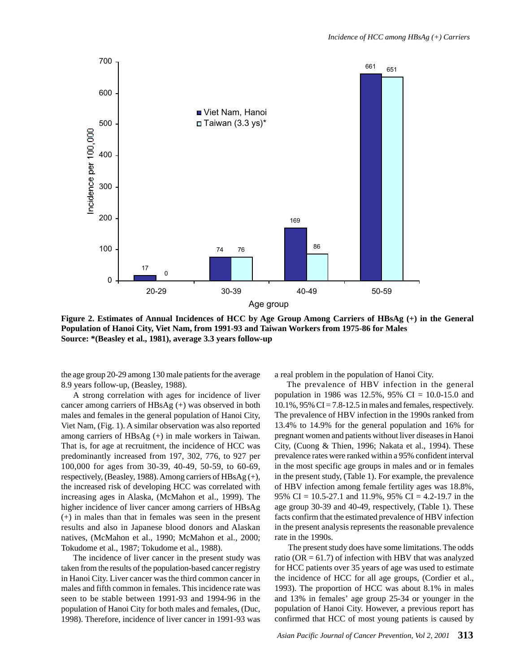

**Figure 2. Estimates of Annual Incidences of HCC by Age Group Among Carriers of HBsAg (+) in the General Population of Hanoi City, Viet Nam, from 1991-93 and Taiwan Workers from 1975-86 for Males Source: \*(Beasley et al., 1981), average 3.3 years follow-up**

the age group 20-29 among 130 male patients for the average 8.9 years follow-up, (Beasley, 1988).

A strong correlation with ages for incidence of liver cancer among carriers of HBsAg (+) was observed in both males and females in the general population of Hanoi City, Viet Nam, (Fig. 1). A similar observation was also reported among carriers of HBsAg (+) in male workers in Taiwan. That is, for age at recruitment, the incidence of HCC was predominantly increased from 197, 302, 776, to 927 per 100,000 for ages from 30-39, 40-49, 50-59, to 60-69, respectively, (Beasley, 1988). Among carriers of HBsAg (+), the increased risk of developing HCC was correlated with increasing ages in Alaska, (McMahon et al., 1999). The higher incidence of liver cancer among carriers of HBsAg (+) in males than that in females was seen in the present results and also in Japanese blood donors and Alaskan natives, (McMahon et al., 1990; McMahon et al., 2000; Tokudome et al., 1987; Tokudome et al., 1988).

The incidence of liver cancer in the present study was taken from the results of the population-based cancer registry in Hanoi City. Liver cancer was the third common cancer in males and fifth common in females. This incidence rate was seen to be stable between 1991-93 and 1994-96 in the population of Hanoi City for both males and females, (Duc, 1998). Therefore, incidence of liver cancer in 1991-93 was a real problem in the population of Hanoi City.

The prevalence of HBV infection in the general population in 1986 was 12.5%, 95% CI = 10.0-15.0 and  $10.1\%$ ,  $95\%$  CI = 7.8-12.5 in males and females, respectively. The prevalence of HBV infection in the 1990s ranked from 13.4% to 14.9% for the general population and 16% for pregnant women and patients without liver diseases in Hanoi City, (Cuong & Thien, 1996; Nakata et al., 1994). These prevalence rates were ranked within a 95% confident interval in the most specific age groups in males and or in females in the present study, (Table 1). For example, the prevalence of HBV infection among female fertility ages was 18.8%, 95% CI = 10.5-27.1 and 11.9%, 95% CI = 4.2-19.7 in the age group 30-39 and 40-49, respectively, (Table 1). These facts confirm that the estimated prevalence of HBV infection in the present analysis represents the reasonable prevalence rate in the 1990s.

 The present study does have some limitations. The odds ratio ( $OR = 61.7$ ) of infection with HBV that was analyzed for HCC patients over 35 years of age was used to estimate the incidence of HCC for all age groups, (Cordier et al., 1993). The proportion of HCC was about 8.1% in males and 13% in females' age group 25-34 or younger in the population of Hanoi City. However, a previous report has confirmed that HCC of most young patients is caused by